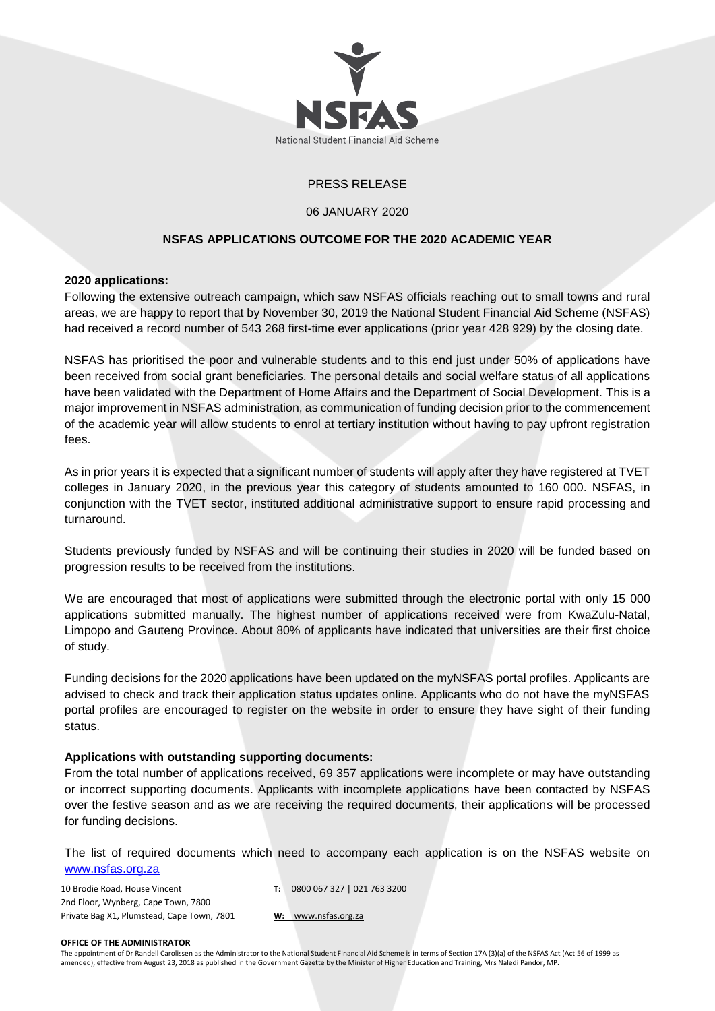

# PRESS RELEASE

## 06 JANUARY 2020

# **NSFAS APPLICATIONS OUTCOME FOR THE 2020 ACADEMIC YEAR**

# **2020 applications:**

Following the extensive outreach campaign, which saw NSFAS officials reaching out to small towns and rural areas, we are happy to report that by November 30, 2019 the National Student Financial Aid Scheme (NSFAS) had received a record number of 543 268 first-time ever applications (prior year 428 929) by the closing date.

NSFAS has prioritised the poor and vulnerable students and to this end just under 50% of applications have been received from social grant beneficiaries. The personal details and social welfare status of all applications have been validated with the Department of Home Affairs and the Department of Social Development. This is a major improvement in NSFAS administration, as communication of funding decision prior to the commencement of the academic year will allow students to enrol at tertiary institution without having to pay upfront registration fees.

As in prior years it is expected that a significant number of students will apply after they have registered at TVET colleges in January 2020, in the previous year this category of students amounted to 160 000. NSFAS, in conjunction with the TVET sector, instituted additional administrative support to ensure rapid processing and turnaround.

Students previously funded by NSFAS and will be continuing their studies in 2020 will be funded based on progression results to be received from the institutions.

We are encouraged that most of applications were submitted through the electronic portal with only 15 000 applications submitted manually. The highest number of applications received were from KwaZulu-Natal, Limpopo and Gauteng Province. About 80% of applicants have indicated that universities are their first choice of study.

Funding decisions for the 2020 applications have been updated on the myNSFAS portal profiles. Applicants are advised to check and track their application status updates online. Applicants who do not have the myNSFAS portal profiles are encouraged to register on the website in order to ensure they have sight of their funding status.

# **Applications with outstanding supporting documents:**

From the total number of applications received, 69 357 applications were incomplete or may have outstanding or incorrect supporting documents. Applicants with incomplete applications have been contacted by NSFAS over the festive season and as we are receiving the required documents, their applications will be processed for funding decisions.

The list of required documents which need to accompany each application is on the NSFAS website on [www.nsfas.org.za](http://www.nsfas.org.za/)

10 Brodie Road, House Vincent 2nd Floor, Wynberg, Cape Town, 7800 Private Bag X1, Plumstead, Cape Town, 7801 **T:** 0800 067 327 | 021 763 3200

**W:** www.nsfas.org.za

#### **OFFICE OF THE ADMINISTRATOR**

The appointment of Dr Randell Carolissen as the Administrator to the National Student Financial Aid Scheme is in terms of Section 17A (3)(a) of the NSFAS Act (Act 56 of 1999 as amended), effective from August 23, 2018 as published in the Government Gazette by the Minister of Higher Education and Training, Mrs Naledi Pandor, MP.